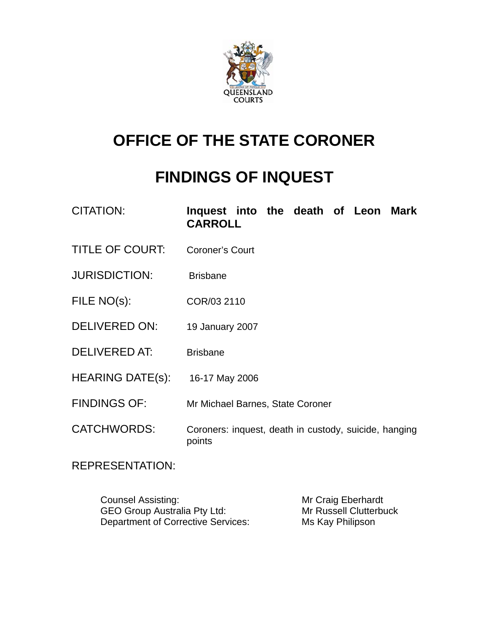

# **OFFICE OF THE STATE CORONER**

# **FINDINGS OF INQUEST**

CITATION: **Inquest into the death of Leon Mark CARROLL** 

- TITLE OF COURT: Coroner's Court
- JURISDICTION: Brisbane
- FILE NO(s): COR/03 2110
- DELIVERED ON: 19 January 2007
- DELIVERED AT: Brisbane
- HEARING DATE(s): 16-17 May 2006
- FINDINGS OF: Mr Michael Barnes, State Coroner
- CATCHWORDS: Coroners: inquest, death in custody, suicide, hanging points

REPRESENTATION:

Counsel Assisting: Mr Craig Eberhardt GEO Group Australia Pty Ltd: Mr Russell Clutterbuck Department of Corrective Services: Ms Kay Philipson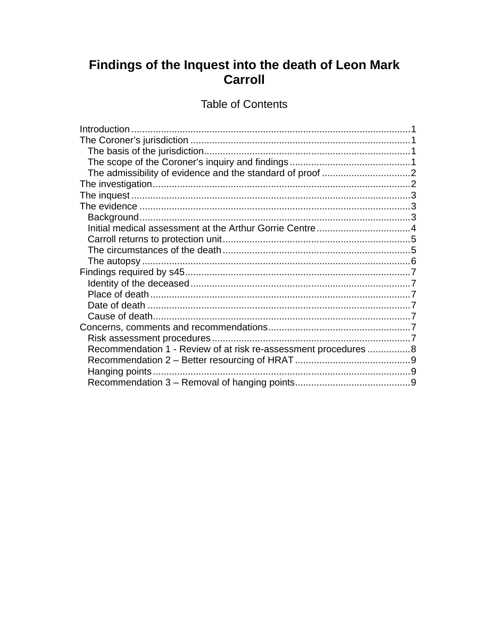# Findings of the Inquest into the death of Leon Mark<br>Carroll

# **Table of Contents**

| Recommendation 1 - Review of at risk re-assessment procedures 8 |  |
|-----------------------------------------------------------------|--|
|                                                                 |  |
|                                                                 |  |
|                                                                 |  |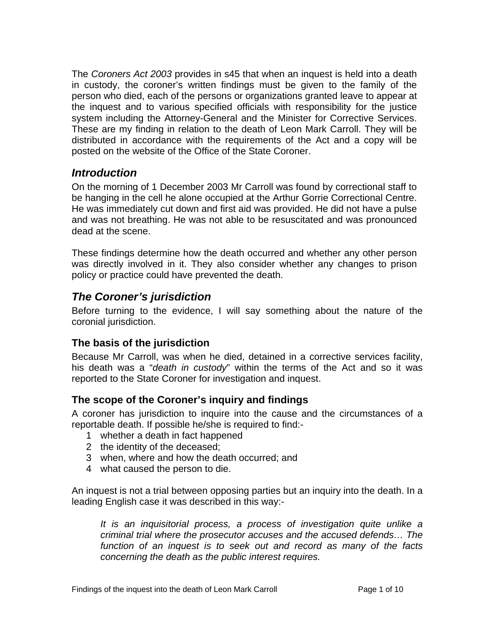<span id="page-2-0"></span>The *Coroners Act 2003* provides in s45 that when an inquest is held into a death in custody, the coroner's written findings must be given to the family of the person who died, each of the persons or organizations granted leave to appear at the inquest and to various specified officials with responsibility for the justice system including the Attorney-General and the Minister for Corrective Services. These are my finding in relation to the death of Leon Mark Carroll. They will be distributed in accordance with the requirements of the Act and a copy will be posted on the website of the Office of the State Coroner.

# *Introduction*

On the morning of 1 December 2003 Mr Carroll was found by correctional staff to be hanging in the cell he alone occupied at the Arthur Gorrie Correctional Centre. He was immediately cut down and first aid was provided. He did not have a pulse and was not breathing. He was not able to be resuscitated and was pronounced dead at the scene.

These findings determine how the death occurred and whether any other person was directly involved in it. They also consider whether any changes to prison policy or practice could have prevented the death.

# *The Coroner's jurisdiction*

Before turning to the evidence, I will say something about the nature of the coronial jurisdiction.

# **The basis of the jurisdiction**

Because Mr Carroll, was when he died, detained in a corrective services facility, his death was a "*death in custody*" within the terms of the Act and so it was reported to the State Coroner for investigation and inquest.

# **The scope of the Coroner's inquiry and findings**

A coroner has jurisdiction to inquire into the cause and the circumstances of a reportable death. If possible he/she is required to find:-

- 1 whether a death in fact happened
- 2 the identity of the deceased;
- 3 when, where and how the death occurred; and
- 4 what caused the person to die.

An inquest is not a trial between opposing parties but an inquiry into the death. In a leading English case it was described in this way:-

*It is an inquisitorial process, a process of investigation quite unlike a criminal trial where the prosecutor accuses and the accused defends… The function of an inquest is to seek out and record as many of the facts concerning the death as the public interest requires.*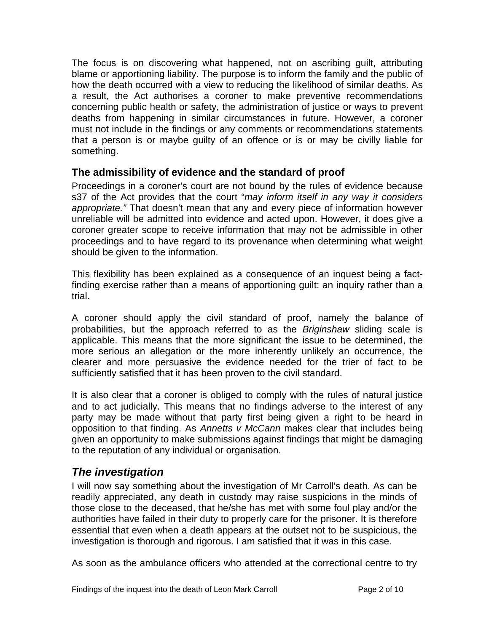<span id="page-3-0"></span>The focus is on discovering what happened, not on ascribing guilt, attributing blame or apportioning liability. The purpose is to inform the family and the public of how the death occurred with a view to reducing the likelihood of similar deaths. As a result, the Act authorises a coroner to make preventive recommendations concerning public health or safety, the administration of justice or ways to prevent deaths from happening in similar circumstances in future. However, a coroner must not include in the findings or any comments or recommendations statements that a person is or maybe guilty of an offence or is or may be civilly liable for something.

#### **The admissibility of evidence and the standard of proof**

Proceedings in a coroner's court are not bound by the rules of evidence because s37 of the Act provides that the court "*may inform itself in any way it considers appropriate."* That doesn't mean that any and every piece of information however unreliable will be admitted into evidence and acted upon. However, it does give a coroner greater scope to receive information that may not be admissible in other proceedings and to have regard to its provenance when determining what weight should be given to the information.

This flexibility has been explained as a consequence of an inquest being a factfinding exercise rather than a means of apportioning guilt: an inquiry rather than a trial.

A coroner should apply the civil standard of proof, namely the balance of probabilities, but the approach referred to as the *Briginshaw* sliding scale is applicable. This means that the more significant the issue to be determined, the more serious an allegation or the more inherently unlikely an occurrence, the clearer and more persuasive the evidence needed for the trier of fact to be sufficiently satisfied that it has been proven to the civil standard.

It is also clear that a coroner is obliged to comply with the rules of natural justice and to act judicially. This means that no findings adverse to the interest of any party may be made without that party first being given a right to be heard in opposition to that finding. As *Annetts v McCann* makes clear that includes being given an opportunity to make submissions against findings that might be damaging to the reputation of any individual or organisation.

# *The investigation*

I will now say something about the investigation of Mr Carroll's death. As can be readily appreciated, any death in custody may raise suspicions in the minds of those close to the deceased, that he/she has met with some foul play and/or the authorities have failed in their duty to properly care for the prisoner. It is therefore essential that even when a death appears at the outset not to be suspicious, the investigation is thorough and rigorous. I am satisfied that it was in this case.

As soon as the ambulance officers who attended at the correctional centre to try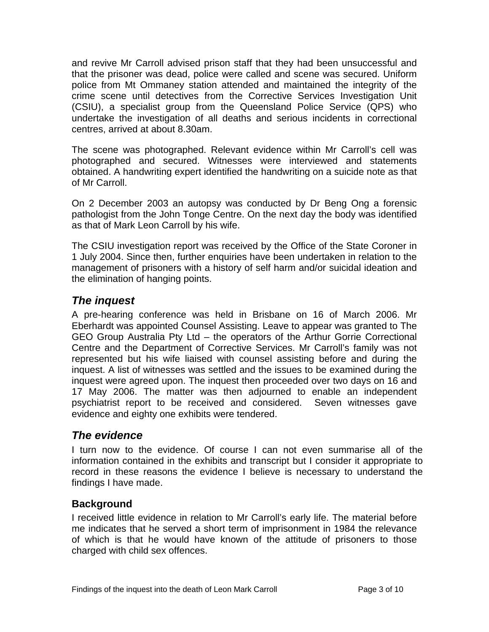<span id="page-4-0"></span>and revive Mr Carroll advised prison staff that they had been unsuccessful and that the prisoner was dead, police were called and scene was secured. Uniform police from Mt Ommaney station attended and maintained the integrity of the crime scene until detectives from the Corrective Services Investigation Unit (CSIU), a specialist group from the Queensland Police Service (QPS) who undertake the investigation of all deaths and serious incidents in correctional centres, arrived at about 8.30am.

The scene was photographed. Relevant evidence within Mr Carroll's cell was photographed and secured. Witnesses were interviewed and statements obtained. A handwriting expert identified the handwriting on a suicide note as that of Mr Carroll.

On 2 December 2003 an autopsy was conducted by Dr Beng Ong a forensic pathologist from the John Tonge Centre. On the next day the body was identified as that of Mark Leon Carroll by his wife.

The CSIU investigation report was received by the Office of the State Coroner in 1 July 2004. Since then, further enquiries have been undertaken in relation to the management of prisoners with a history of self harm and/or suicidal ideation and the elimination of hanging points.

# *The inquest*

A pre-hearing conference was held in Brisbane on 16 of March 2006. Mr Eberhardt was appointed Counsel Assisting. Leave to appear was granted to The GEO Group Australia Pty Ltd – the operators of the Arthur Gorrie Correctional Centre and the Department of Corrective Services. Mr Carroll's family was not represented but his wife liaised with counsel assisting before and during the inquest. A list of witnesses was settled and the issues to be examined during the inquest were agreed upon. The inquest then proceeded over two days on 16 and 17 May 2006. The matter was then adjourned to enable an independent psychiatrist report to be received and considered. Seven witnesses gave evidence and eighty one exhibits were tendered.

# *The evidence*

I turn now to the evidence. Of course I can not even summarise all of the information contained in the exhibits and transcript but I consider it appropriate to record in these reasons the evidence I believe is necessary to understand the findings I have made.

# **Background**

I received little evidence in relation to Mr Carroll's early life. The material before me indicates that he served a short term of imprisonment in 1984 the relevance of which is that he would have known of the attitude of prisoners to those charged with child sex offences.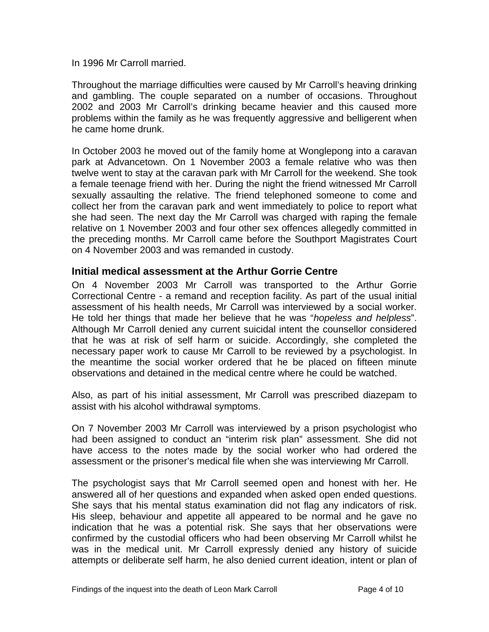<span id="page-5-0"></span>In 1996 Mr Carroll married.

Throughout the marriage difficulties were caused by Mr Carroll's heaving drinking and gambling. The couple separated on a number of occasions. Throughout 2002 and 2003 Mr Carroll's drinking became heavier and this caused more problems within the family as he was frequently aggressive and belligerent when he came home drunk.

In October 2003 he moved out of the family home at Wonglepong into a caravan park at Advancetown. On 1 November 2003 a female relative who was then twelve went to stay at the caravan park with Mr Carroll for the weekend. She took a female teenage friend with her. During the night the friend witnessed Mr Carroll sexually assaulting the relative. The friend telephoned someone to come and collect her from the caravan park and went immediately to police to report what she had seen. The next day the Mr Carroll was charged with raping the female relative on 1 November 2003 and four other sex offences allegedly committed in the preceding months. Mr Carroll came before the Southport Magistrates Court on 4 November 2003 and was remanded in custody.

#### **Initial medical assessment at the Arthur Gorrie Centre**

On 4 November 2003 Mr Carroll was transported to the Arthur Gorrie Correctional Centre - a remand and reception facility. As part of the usual initial assessment of his health needs, Mr Carroll was interviewed by a social worker. He told her things that made her believe that he was "*hopeless and helpless*". Although Mr Carroll denied any current suicidal intent the counsellor considered that he was at risk of self harm or suicide. Accordingly, she completed the necessary paper work to cause Mr Carroll to be reviewed by a psychologist. In the meantime the social worker ordered that he be placed on fifteen minute observations and detained in the medical centre where he could be watched.

Also, as part of his initial assessment, Mr Carroll was prescribed diazepam to assist with his alcohol withdrawal symptoms.

On 7 November 2003 Mr Carroll was interviewed by a prison psychologist who had been assigned to conduct an "interim risk plan" assessment. She did not have access to the notes made by the social worker who had ordered the assessment or the prisoner's medical file when she was interviewing Mr Carroll.

The psychologist says that Mr Carroll seemed open and honest with her. He answered all of her questions and expanded when asked open ended questions. She says that his mental status examination did not flag any indicators of risk. His sleep, behaviour and appetite all appeared to be normal and he gave no indication that he was a potential risk. She says that her observations were confirmed by the custodial officers who had been observing Mr Carroll whilst he was in the medical unit. Mr Carroll expressly denied any history of suicide attempts or deliberate self harm, he also denied current ideation, intent or plan of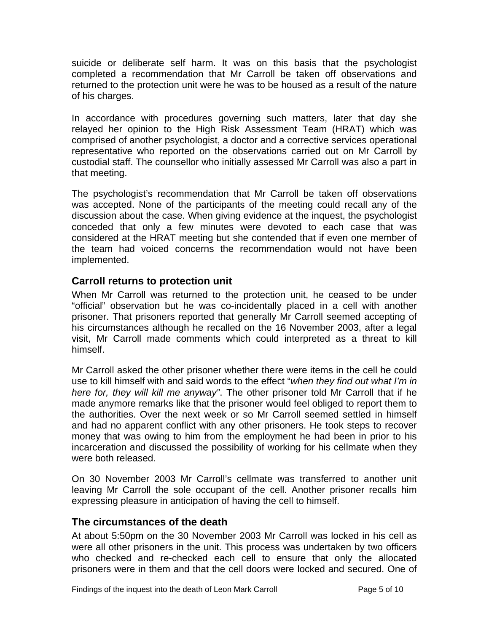<span id="page-6-0"></span>suicide or deliberate self harm. It was on this basis that the psychologist completed a recommendation that Mr Carroll be taken off observations and returned to the protection unit were he was to be housed as a result of the nature of his charges.

In accordance with procedures governing such matters, later that day she relayed her opinion to the High Risk Assessment Team (HRAT) which was comprised of another psychologist, a doctor and a corrective services operational representative who reported on the observations carried out on Mr Carroll by custodial staff. The counsellor who initially assessed Mr Carroll was also a part in that meeting.

The psychologist's recommendation that Mr Carroll be taken off observations was accepted. None of the participants of the meeting could recall any of the discussion about the case. When giving evidence at the inquest, the psychologist conceded that only a few minutes were devoted to each case that was considered at the HRAT meeting but she contended that if even one member of the team had voiced concerns the recommendation would not have been implemented.

#### **Carroll returns to protection unit**

When Mr Carroll was returned to the protection unit, he ceased to be under "official" observation but he was co-incidentally placed in a cell with another prisoner. That prisoners reported that generally Mr Carroll seemed accepting of his circumstances although he recalled on the 16 November 2003, after a legal visit, Mr Carroll made comments which could interpreted as a threat to kill himself.

Mr Carroll asked the other prisoner whether there were items in the cell he could use to kill himself with and said words to the effect "*when they find out what I'm in here for, they will kill me anyway"*. The other prisoner told Mr Carroll that if he made anymore remarks like that the prisoner would feel obliged to report them to the authorities. Over the next week or so Mr Carroll seemed settled in himself and had no apparent conflict with any other prisoners. He took steps to recover money that was owing to him from the employment he had been in prior to his incarceration and discussed the possibility of working for his cellmate when they were both released.

On 30 November 2003 Mr Carroll's cellmate was transferred to another unit leaving Mr Carroll the sole occupant of the cell. Another prisoner recalls him expressing pleasure in anticipation of having the cell to himself.

# **The circumstances of the death**

At about 5:50pm on the 30 November 2003 Mr Carroll was locked in his cell as were all other prisoners in the unit. This process was undertaken by two officers who checked and re-checked each cell to ensure that only the allocated prisoners were in them and that the cell doors were locked and secured. One of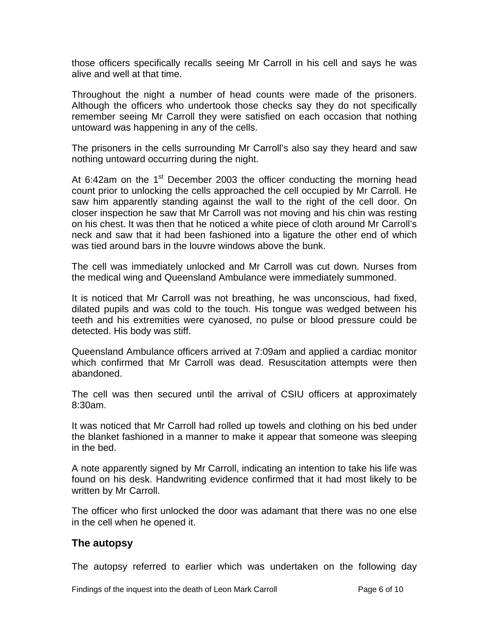<span id="page-7-0"></span>those officers specifically recalls seeing Mr Carroll in his cell and says he was alive and well at that time.

Throughout the night a number of head counts were made of the prisoners. Although the officers who undertook those checks say they do not specifically remember seeing Mr Carroll they were satisfied on each occasion that nothing untoward was happening in any of the cells.

The prisoners in the cells surrounding Mr Carroll's also say they heard and saw nothing untoward occurring during the night.

At 6:42am on the  $1<sup>st</sup>$  December 2003 the officer conducting the morning head count prior to unlocking the cells approached the cell occupied by Mr Carroll. He saw him apparently standing against the wall to the right of the cell door. On closer inspection he saw that Mr Carroll was not moving and his chin was resting on his chest. It was then that he noticed a white piece of cloth around Mr Carroll's neck and saw that it had been fashioned into a ligature the other end of which was tied around bars in the louvre windows above the bunk.

The cell was immediately unlocked and Mr Carroll was cut down. Nurses from the medical wing and Queensland Ambulance were immediately summoned.

It is noticed that Mr Carroll was not breathing, he was unconscious, had fixed, dilated pupils and was cold to the touch. His tongue was wedged between his teeth and his extremities were cyanosed, no pulse or blood pressure could be detected. His body was stiff.

Queensland Ambulance officers arrived at 7:09am and applied a cardiac monitor which confirmed that Mr Carroll was dead. Resuscitation attempts were then abandoned.

The cell was then secured until the arrival of CSIU officers at approximately 8:30am.

It was noticed that Mr Carroll had rolled up towels and clothing on his bed under the blanket fashioned in a manner to make it appear that someone was sleeping in the bed.

A note apparently signed by Mr Carroll, indicating an intention to take his life was found on his desk. Handwriting evidence confirmed that it had most likely to be written by Mr Carroll.

The officer who first unlocked the door was adamant that there was no one else in the cell when he opened it.

#### **The autopsy**

The autopsy referred to earlier which was undertaken on the following day

Findings of the inquest into the death of Leon Mark Carroll **Page 6 of 10** Page 6 of 10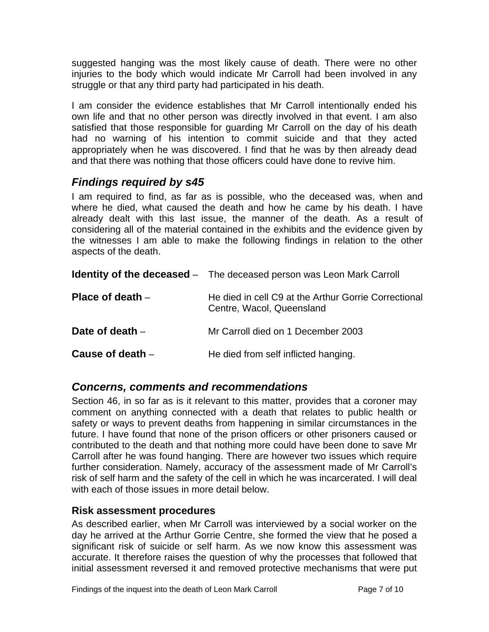<span id="page-8-0"></span>suggested hanging was the most likely cause of death. There were no other injuries to the body which would indicate Mr Carroll had been involved in any struggle or that any third party had participated in his death.

I am consider the evidence establishes that Mr Carroll intentionally ended his own life and that no other person was directly involved in that event. I am also satisfied that those responsible for guarding Mr Carroll on the day of his death had no warning of his intention to commit suicide and that they acted appropriately when he was discovered. I find that he was by then already dead and that there was nothing that those officers could have done to revive him.

# *Findings required by s45*

I am required to find, as far as is possible, who the deceased was, when and where he died, what caused the death and how he came by his death. I have already dealt with this last issue, the manner of the death. As a result of considering all of the material contained in the exhibits and the evidence given by the witnesses I am able to make the following findings in relation to the other aspects of the death.

|                    | <b>Identity of the deceased</b> – The deceased person was Leon Mark Carroll       |
|--------------------|-----------------------------------------------------------------------------------|
| Place of death $-$ | He died in cell C9 at the Arthur Gorrie Correctional<br>Centre, Wacol, Queensland |
| Date of death $-$  | Mr Carroll died on 1 December 2003                                                |
| Cause of death -   | He died from self inflicted hanging.                                              |

# *Concerns, comments and recommendations*

Section 46, in so far as is it relevant to this matter, provides that a coroner may comment on anything connected with a death that relates to public health or safety or ways to prevent deaths from happening in similar circumstances in the future. I have found that none of the prison officers or other prisoners caused or contributed to the death and that nothing more could have been done to save Mr Carroll after he was found hanging. There are however two issues which require further consideration. Namely, accuracy of the assessment made of Mr Carroll's risk of self harm and the safety of the cell in which he was incarcerated. I will deal with each of those issues in more detail below.

# **Risk assessment procedures**

As described earlier, when Mr Carroll was interviewed by a social worker on the day he arrived at the Arthur Gorrie Centre, she formed the view that he posed a significant risk of suicide or self harm. As we now know this assessment was accurate. It therefore raises the question of why the processes that followed that initial assessment reversed it and removed protective mechanisms that were put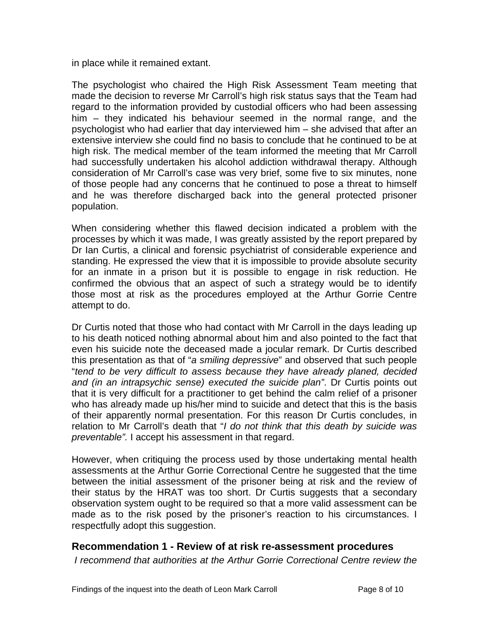<span id="page-9-0"></span>in place while it remained extant.

The psychologist who chaired the High Risk Assessment Team meeting that made the decision to reverse Mr Carroll's high risk status says that the Team had regard to the information provided by custodial officers who had been assessing him – they indicated his behaviour seemed in the normal range, and the psychologist who had earlier that day interviewed him – she advised that after an extensive interview she could find no basis to conclude that he continued to be at high risk. The medical member of the team informed the meeting that Mr Carroll had successfully undertaken his alcohol addiction withdrawal therapy. Although consideration of Mr Carroll's case was very brief, some five to six minutes, none of those people had any concerns that he continued to pose a threat to himself and he was therefore discharged back into the general protected prisoner population.

When considering whether this flawed decision indicated a problem with the processes by which it was made, I was greatly assisted by the report prepared by Dr Ian Curtis, a clinical and forensic psychiatrist of considerable experience and standing. He expressed the view that it is impossible to provide absolute security for an inmate in a prison but it is possible to engage in risk reduction. He confirmed the obvious that an aspect of such a strategy would be to identify those most at risk as the procedures employed at the Arthur Gorrie Centre attempt to do.

Dr Curtis noted that those who had contact with Mr Carroll in the days leading up to his death noticed nothing abnormal about him and also pointed to the fact that even his suicide note the deceased made a jocular remark. Dr Curtis described this presentation as that of "*a smiling depressive*" and observed that such people "*tend to be very difficult to assess because they have already planed, decided and (in an intrapsychic sense) executed the suicide plan"*. Dr Curtis points out that it is very difficult for a practitioner to get behind the calm relief of a prisoner who has already made up his/her mind to suicide and detect that this is the basis of their apparently normal presentation. For this reason Dr Curtis concludes, in relation to Mr Carroll's death that "*I do not think that this death by suicide was preventable".* I accept his assessment in that regard.

However, when critiquing the process used by those undertaking mental health assessments at the Arthur Gorrie Correctional Centre he suggested that the time between the initial assessment of the prisoner being at risk and the review of their status by the HRAT was too short. Dr Curtis suggests that a secondary observation system ought to be required so that a more valid assessment can be made as to the risk posed by the prisoner's reaction to his circumstances. I respectfully adopt this suggestion.

# **Recommendation 1 - Review of at risk re-assessment procedures**

 *I recommend that authorities at the Arthur Gorrie Correctional Centre review the*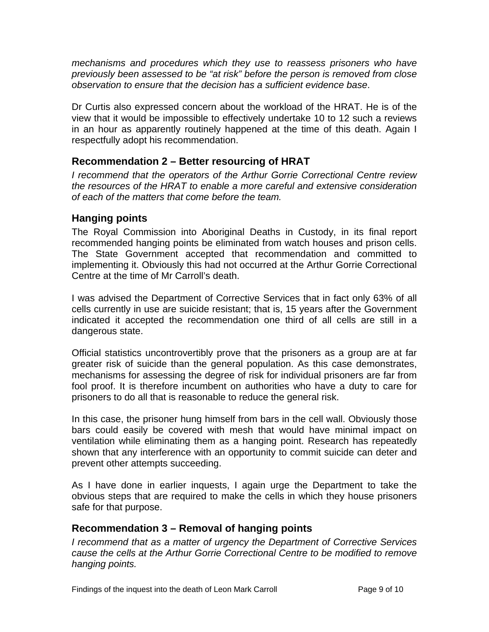<span id="page-10-0"></span>*mechanisms and procedures which they use to reassess prisoners who have previously been assessed to be "at risk" before the person is removed from close observation to ensure that the decision has a sufficient evidence base*.

Dr Curtis also expressed concern about the workload of the HRAT. He is of the view that it would be impossible to effectively undertake 10 to 12 such a reviews in an hour as apparently routinely happened at the time of this death. Again I respectfully adopt his recommendation.

# **Recommendation 2 – Better resourcing of HRAT**

*I recommend that the operators of the Arthur Gorrie Correctional Centre review the resources of the HRAT to enable a more careful and extensive consideration of each of the matters that come before the team.* 

#### **Hanging points**

The Royal Commission into Aboriginal Deaths in Custody, in its final report recommended hanging points be eliminated from watch houses and prison cells. The State Government accepted that recommendation and committed to implementing it. Obviously this had not occurred at the Arthur Gorrie Correctional Centre at the time of Mr Carroll's death.

I was advised the Department of Corrective Services that in fact only 63% of all cells currently in use are suicide resistant; that is, 15 years after the Government indicated it accepted the recommendation one third of all cells are still in a dangerous state.

Official statistics uncontrovertibly prove that the prisoners as a group are at far greater risk of suicide than the general population. As this case demonstrates, mechanisms for assessing the degree of risk for individual prisoners are far from fool proof. It is therefore incumbent on authorities who have a duty to care for prisoners to do all that is reasonable to reduce the general risk.

In this case, the prisoner hung himself from bars in the cell wall. Obviously those bars could easily be covered with mesh that would have minimal impact on ventilation while eliminating them as a hanging point. Research has repeatedly shown that any interference with an opportunity to commit suicide can deter and prevent other attempts succeeding.

As I have done in earlier inquests, I again urge the Department to take the obvious steps that are required to make the cells in which they house prisoners safe for that purpose.

#### **Recommendation 3 – Removal of hanging points**

*I recommend that as a matter of urgency the Department of Corrective Services cause the cells at the Arthur Gorrie Correctional Centre to be modified to remove hanging points.*